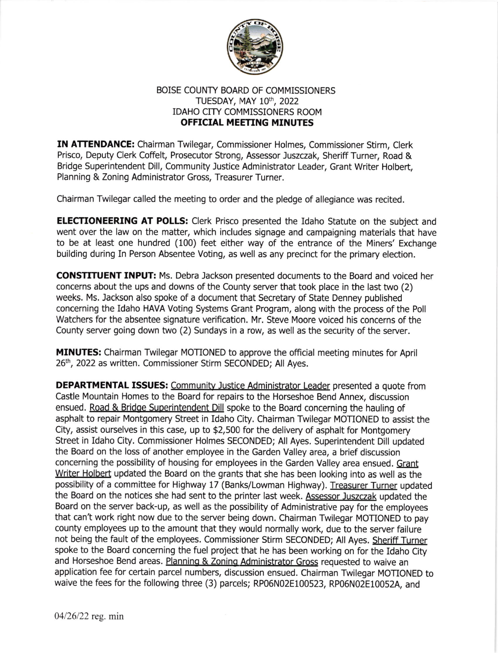

## BOISE COUNTY BOARD OF COMMISSIONERS TUESDAY, MAY 10<sup>th</sup>, 2022 IDAHO CITY COMMISSIONERS ROOM OFFICIAL MEETING MINUTES

IN ATTENDANCE: Chairman Twilegar, Commissioner Holmes, Commissioner Stirm, Clerk Prisco, Deputy Clerk Coffelt, Prosecutor Strong, Assessor Juszczak, Sheriff Turner, Road & Bridge Superintendent Dill, Community Justice Administrator Leader, Grant Writer Holbert, Planning & Zoning Administrator Gross, Treasurer Turner.

Chairman Twilegar called the meeting to order and the pledge of allegiance was recited.

**ELECTIONEERING AT POLLS:** Clerk Prisco presented the Idaho Statute on the subject and went over the law on the matter, which includes signage and campaigning materials that have to be at least one hundred (100) feet either way of the entrance of the Miners' Exchange building during In Person Absentee Voting, as well as any precinct for the primary election.

**CONSTITUENT INPUT:** Ms. Debra Jackson presented documents to the Board and voiced her concerns about the ups and downs of the County server that took place in the last two (2) weeks. Ms. lackson also spoke of a document that Secretary of State Denney published concerning the Idaho HAVA Voting Systems Grant Program, along with the process of the Poll Watchers for the absentee signature verification. Mr. Steve Moore voiced his concerns of the County server going down two (2) Sundays in a row, as well as the security of the server.

MINUTES: Chairman Twilegar MOTIONED to approve the official meeting minutes for April 26<sup>th</sup>, 2022 as written. Commissioner Stirm SECONDED; All Ayes.

DEPARTMENTAL ISSUES: Communitv Justice Administrator Leader presented a quote from Castle Mountain Homes to the Board for repairs to the Horseshoe Bend Annex, discussion ensued. Road & Bridge Superintendent Dill spoke to the Board concerning the hauling of asphalt to repair Montgomery Street in ldaho City. Chairman Twilegar MOTIONED to assist the City, assist ourselves in this case, up to \$2,500 for the delivery of asphalt for Montgomery Street in Idaho City. Commissioner Holmes SECONDED; All Ayes. Superintendent Dill updated the Board on the loss of another employee in the Garden Valley area, a brief discussion concerning the possibility of housing for employees in the Garden Valley area ensued. Grant Writer Holbert updated the Board on the grants that she has been looking into as well as the possibility of a committee for Highway 17 (Banks/Lowman Highway). Treasurer Turner updated the Board on the notices she had sent to the printer last week. Assessor Juszczak updated the Board on the server back-up, as well as the possibility of Administrative pay for the employees that can't work right now due to the server being down. Chairman Twilegar MOTIONED to pay county employees up to the amount that they would normally work, due to the server failure not being the fault of the employees. Commissioner Stirm SECONDED; All Ayes. Sheriff Turner spoke to the Eoard concerning the fuel project that he has been working on for the Idaho City and Horseshoe Bend areas. Planning & Zoning Administrator Gross requested to waive an application fee for certain parcel numbers, discussion ensued. chairman Twilegar MoTIoNED to waive the fees for the following three (3) parcels; RP06N02E100523, Rp06N02E10052A, and